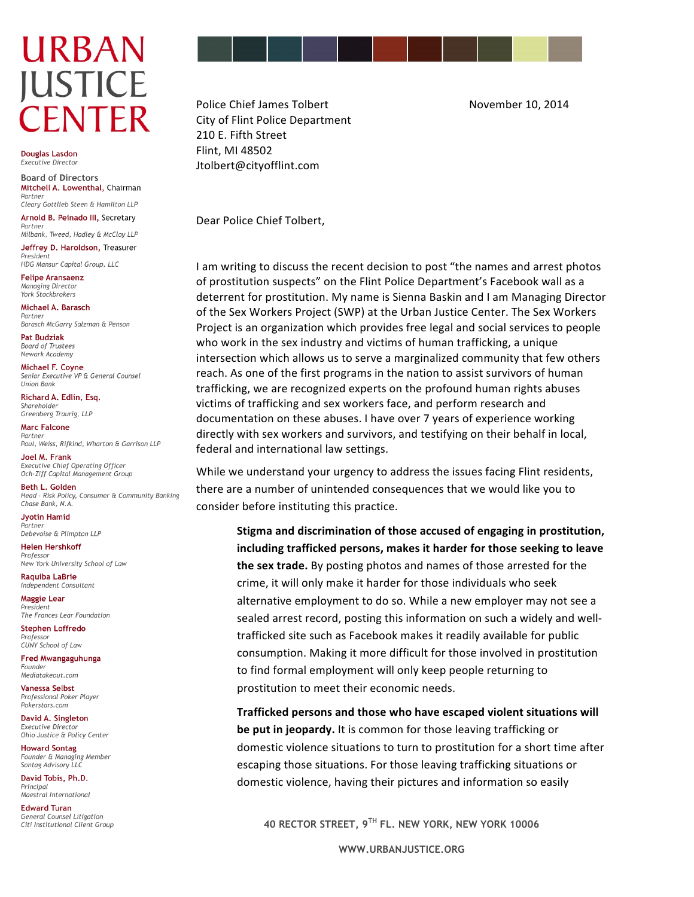## **URBAN JUSTICE CENTER**

Douglas Lasdon Executive Directo

**Board of Directors** Mitchell A. Lowenthal, Chairman Partner Cleary Gottlieb Steen & Hamilton LLP

Arnold B. Peinado III, Secretary

Partner Milbank, Tweed, Hadley & McCloy LLP

Jeffrey D. Haroldson, Treasurer President HDG Mansur Capital Group, LLC

**Felipe Aransaenz** Managing Director York Stockbrokers

Michael A. Barasch Partner Barasch McGarry Salzman & Penson

**Pat Budziak** 

**Board of Trustees** Newark Academy

Michael F. Coyne Senior Executive VP & General Counsel **Union Bank** 

Richard A. Edlin, Esq. Shareholder Greenberg Traurig, LLP

**Marc Falcone** Partner Paul, Weiss, Rifkind, Wharton & Garrison LLP

Joel M. Frank Executive Chief Operating Officer Och-Ziff Capital Management Group

Beth L. Golden Head - Risk Policy, Consumer & Community Banking Chase Bank, N.A.

**Jvotin Hamid** Partner Debevoise & Plimpton LLP

**Helen Hershkoff** Professor New York University School of Law

**Raquiba LaBrie** Independent Consultant

**Maggie Lear** President The Frances Lear Foundation

**Stephen Loffredo** Professo CUNY School of Law

Fred Mwangaguhunga Founder Mediatakeout.com

**Vanessa Selbst** Professional Poker Player Pokerstars.com

David A. Singleton Executive Director Ohio Justice & Policy Center

**Howard Sontag** Founder & Managing Member Sontag Advisory LLC

David Tobis, Ph.D. Principal Maestral International

**Edward Turan General Counsel Litigation** Citi Institutional Client Group

Police Chief James Tolbert **Busines Container 10, 2014** City of Flint Police Department 210 E. Fifth Street Flint, MI 48502 Jtolbert@cityofflint.com

Dear Police Chief Tolbert,

I am writing to discuss the recent decision to post "the names and arrest photos of prostitution suspects" on the Flint Police Department's Facebook wall as a deterrent for prostitution. My name is Sienna Baskin and I am Managing Director of the Sex Workers Project (SWP) at the Urban Justice Center. The Sex Workers Project is an organization which provides free legal and social services to people who work in the sex industry and victims of human trafficking, a unique intersection which allows us to serve a marginalized community that few others reach. As one of the first programs in the nation to assist survivors of human trafficking, we are recognized experts on the profound human rights abuses victims of trafficking and sex workers face, and perform research and documentation on these abuses. I have over 7 years of experience working directly with sex workers and survivors, and testifying on their behalf in local, federal and international law settings.

While we understand your urgency to address the issues facing Flint residents, there are a number of unintended consequences that we would like you to consider before instituting this practice.

> **Stigma and discrimination of those accused of engaging in prostitution,** including trafficked persons, makes it harder for those seeking to leave **the sex trade.** By posting photos and names of those arrested for the crime, it will only make it harder for those individuals who seek alternative employment to do so. While a new employer may not see a sealed arrest record, posting this information on such a widely and welltrafficked site such as Facebook makes it readily available for public consumption. Making it more difficult for those involved in prostitution to find formal employment will only keep people returning to prostitution to meet their economic needs.

> **Trafficked persons and those who have escaped violent situations will be put in jeopardy.** It is common for those leaving trafficking or domestic violence situations to turn to prostitution for a short time after escaping those situations. For those leaving trafficking situations or domestic violence, having their pictures and information so easily

**40 RECTOR STREET, 9TH FL. NEW YORK, NEW YORK 10006**

**WWW.URBANJUSTICE.ORG**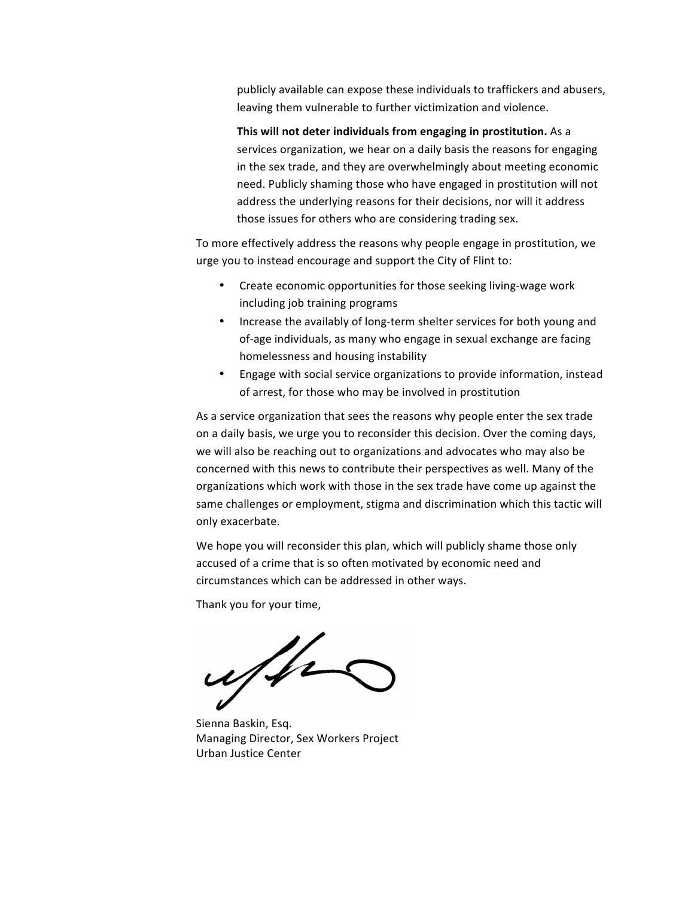publicly available can expose these individuals to traffickers and abusers, leaving them vulnerable to further victimization and violence.

**This will not deter individuals from engaging in prostitution.** As a services organization, we hear on a daily basis the reasons for engaging in the sex trade, and they are overwhelmingly about meeting economic need. Publicly shaming those who have engaged in prostitution will not address the underlying reasons for their decisions, nor will it address those issues for others who are considering trading sex.

To more effectively address the reasons why people engage in prostitution, we urge you to instead encourage and support the City of Flint to:

- Create economic opportunities for those seeking living-wage work including job training programs
- Increase the availably of long-term shelter services for both young and of-age individuals, as many who engage in sexual exchange are facing homelessness and housing instability
- Engage with social service organizations to provide information, instead of arrest, for those who may be involved in prostitution

As a service organization that sees the reasons why people enter the sex trade on a daily basis, we urge you to reconsider this decision. Over the coming days, we will also be reaching out to organizations and advocates who may also be concerned with this news to contribute their perspectives as well. Many of the organizations which work with those in the sex trade have come up against the same challenges or employment, stigma and discrimination which this tactic will only exacerbate.

We hope you will reconsider this plan, which will publicly shame those only accused of a crime that is so often motivated by economic need and circumstances which can be addressed in other ways.

Thank you for your time,

uffer

Sienna Baskin, Esq. Managing Director, Sex Workers Project Urban Justice Center